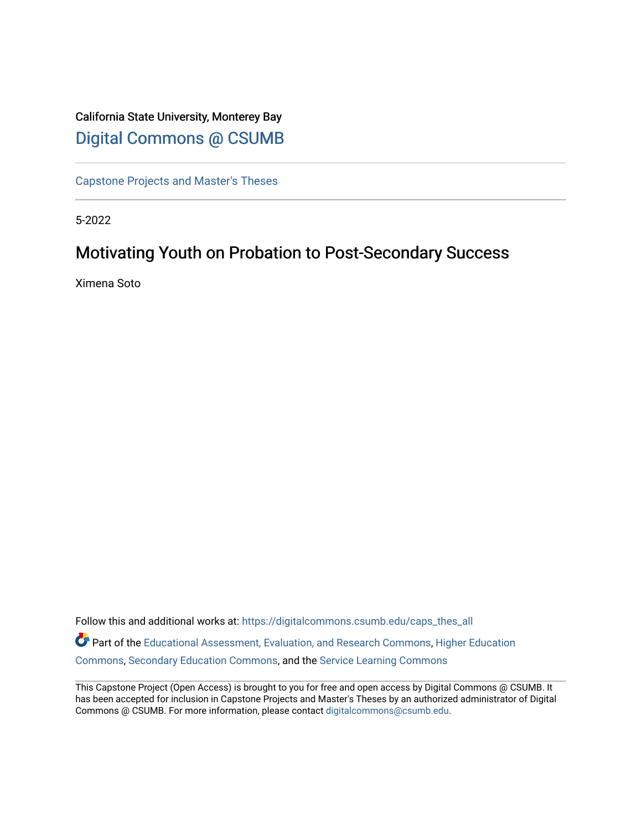## California State University, Monterey Bay [Digital Commons @ CSUMB](https://digitalcommons.csumb.edu/)

[Capstone Projects and Master's Theses](https://digitalcommons.csumb.edu/caps_thes_all)

5-2022

# Motivating Youth on Probation to Post-Secondary Success

Ximena Soto

Follow this and additional works at: [https://digitalcommons.csumb.edu/caps\\_thes\\_all](https://digitalcommons.csumb.edu/caps_thes_all?utm_source=digitalcommons.csumb.edu%2Fcaps_thes_all%2F1273&utm_medium=PDF&utm_campaign=PDFCoverPages) Part of the [Educational Assessment, Evaluation, and Research Commons](https://network.bepress.com/hgg/discipline/796?utm_source=digitalcommons.csumb.edu%2Fcaps_thes_all%2F1273&utm_medium=PDF&utm_campaign=PDFCoverPages), [Higher Education](https://network.bepress.com/hgg/discipline/1245?utm_source=digitalcommons.csumb.edu%2Fcaps_thes_all%2F1273&utm_medium=PDF&utm_campaign=PDFCoverPages)  [Commons](https://network.bepress.com/hgg/discipline/1245?utm_source=digitalcommons.csumb.edu%2Fcaps_thes_all%2F1273&utm_medium=PDF&utm_campaign=PDFCoverPages), [Secondary Education Commons,](https://network.bepress.com/hgg/discipline/1382?utm_source=digitalcommons.csumb.edu%2Fcaps_thes_all%2F1273&utm_medium=PDF&utm_campaign=PDFCoverPages) and the [Service Learning Commons](https://network.bepress.com/hgg/discipline/1024?utm_source=digitalcommons.csumb.edu%2Fcaps_thes_all%2F1273&utm_medium=PDF&utm_campaign=PDFCoverPages)

This Capstone Project (Open Access) is brought to you for free and open access by Digital Commons @ CSUMB. It has been accepted for inclusion in Capstone Projects and Master's Theses by an authorized administrator of Digital Commons @ CSUMB. For more information, please contact [digitalcommons@csumb.edu](mailto:digitalcommons@csumb.edu).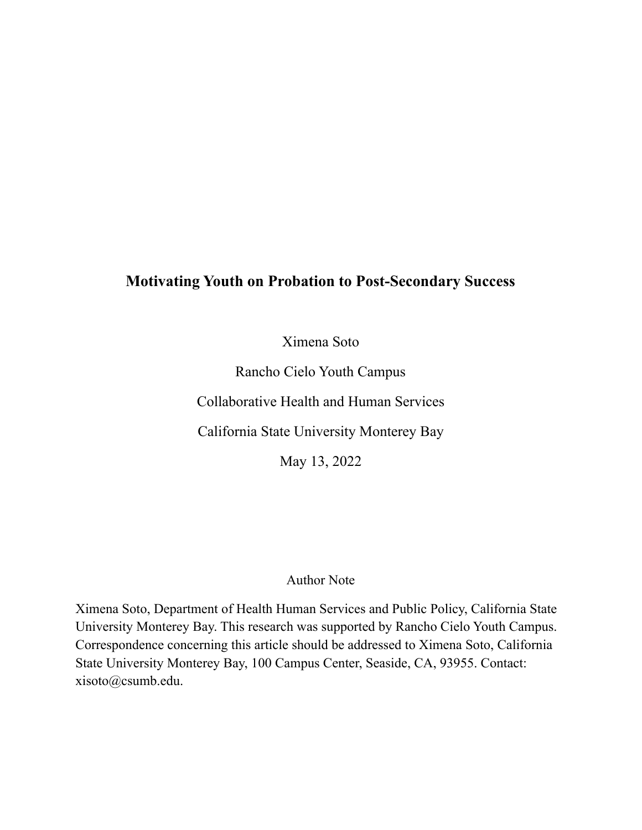# **Motivating Youth on Probation to Post-Secondary Success**

Ximena Soto

Rancho Cielo Youth Campus

Collaborative Health and Human Services

California State University Monterey Bay

May 13, 2022

### Author Note

Ximena Soto, Department of Health Human Services and Public Policy, California State University Monterey Bay. This research was supported by Rancho Cielo Youth Campus. Correspondence concerning this article should be addressed to Ximena Soto, California State University Monterey Bay, 100 Campus Center, Seaside, CA, 93955. Contact: xisoto@csumb.edu.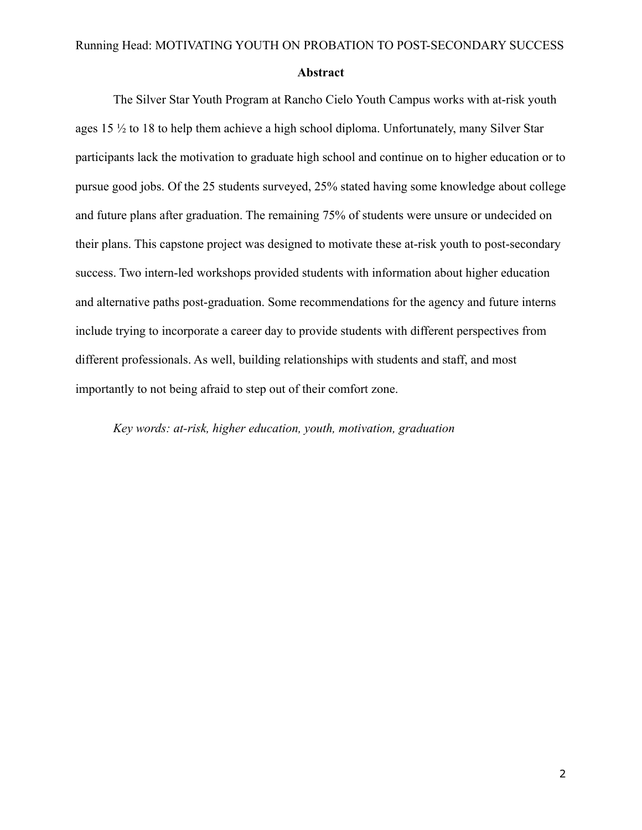#### **Abstract**

The Silver Star Youth Program at Rancho Cielo Youth Campus works with at-risk youth ages 15 ½ to 18 to help them achieve a high school diploma. Unfortunately, many Silver Star participants lack the motivation to graduate high school and continue on to higher education or to pursue good jobs. Of the 25 students surveyed, 25% stated having some knowledge about college and future plans after graduation. The remaining 75% of students were unsure or undecided on their plans. This capstone project was designed to motivate these at-risk youth to post-secondary success. Two intern-led workshops provided students with information about higher education and alternative paths post-graduation. Some recommendations for the agency and future interns include trying to incorporate a career day to provide students with different perspectives from different professionals. As well, building relationships with students and staff, and most importantly to not being afraid to step out of their comfort zone.

*Key words: at-risk, higher education, youth, motivation, graduation*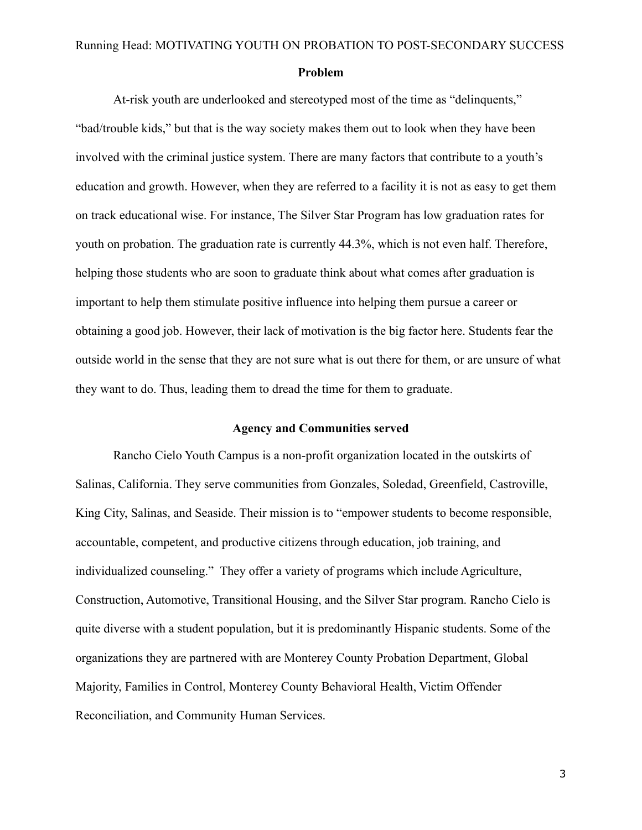#### **Problem**

At-risk youth are underlooked and stereotyped most of the time as "delinquents," "bad/trouble kids," but that is the way society makes them out to look when they have been involved with the criminal justice system. There are many factors that contribute to a youth's education and growth. However, when they are referred to a facility it is not as easy to get them on track educational wise. For instance, The Silver Star Program has low graduation rates for youth on probation. The graduation rate is currently 44.3%, which is not even half. Therefore, helping those students who are soon to graduate think about what comes after graduation is important to help them stimulate positive influence into helping them pursue a career or obtaining a good job. However, their lack of motivation is the big factor here. Students fear the outside world in the sense that they are not sure what is out there for them, or are unsure of what they want to do. Thus, leading them to dread the time for them to graduate.

#### **Agency and Communities served**

Rancho Cielo Youth Campus is a non-profit organization located in the outskirts of Salinas, California. They serve communities from Gonzales, Soledad, Greenfield, Castroville, King City, Salinas, and Seaside. Their mission is to "empower students to become responsible, accountable, competent, and productive citizens through education, job training, and individualized counseling." They offer a variety of programs which include Agriculture, Construction, Automotive, Transitional Housing, and the Silver Star program. Rancho Cielo is quite diverse with a student population, but it is predominantly Hispanic students. Some of the organizations they are partnered with are Monterey County Probation Department, Global Majority, Families in Control, Monterey County Behavioral Health, Victim Offender Reconciliation, and Community Human Services.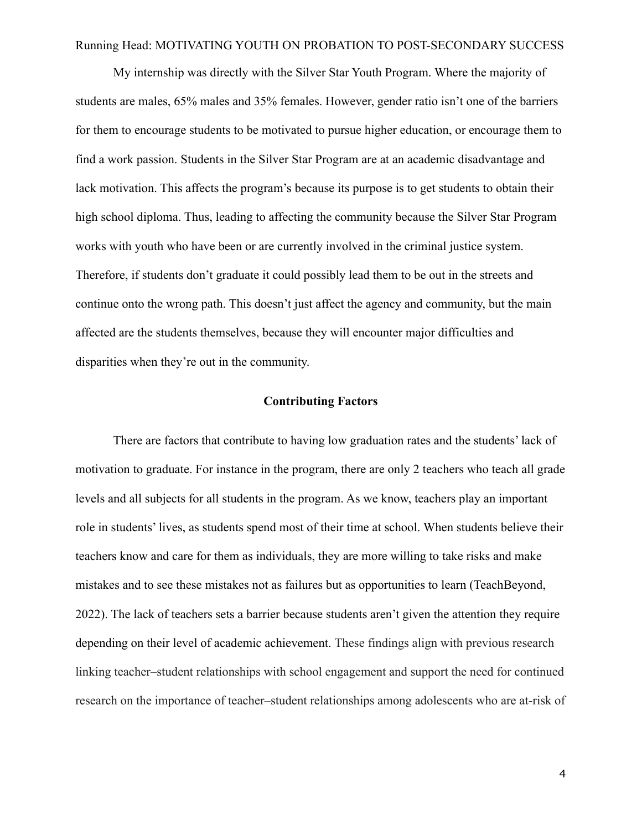My internship was directly with the Silver Star Youth Program. Where the majority of students are males, 65% males and 35% females. However, gender ratio isn't one of the barriers for them to encourage students to be motivated to pursue higher education, or encourage them to find a work passion. Students in the Silver Star Program are at an academic disadvantage and lack motivation. This affects the program's because its purpose is to get students to obtain their high school diploma. Thus, leading to affecting the community because the Silver Star Program works with youth who have been or are currently involved in the criminal justice system. Therefore, if students don't graduate it could possibly lead them to be out in the streets and continue onto the wrong path. This doesn't just affect the agency and community, but the main affected are the students themselves, because they will encounter major difficulties and disparities when they're out in the community.

#### **Contributing Factors**

There are factors that contribute to having low graduation rates and the students' lack of motivation to graduate. For instance in the program, there are only 2 teachers who teach all grade levels and all subjects for all students in the program. As we know, teachers play an important role in students' lives, as students spend most of their time at school. When students believe their teachers know and care for them as individuals, they are more willing to take risks and make mistakes and to see these mistakes not as failures but as opportunities to learn (TeachBeyond, 2022). The lack of teachers sets a barrier because students aren't given the attention they require depending on their level of academic achievement. These findings align with previous research linking teacher–student relationships with school engagement and support the need for continued research on the importance of teacher–student relationships among adolescents who are at-risk of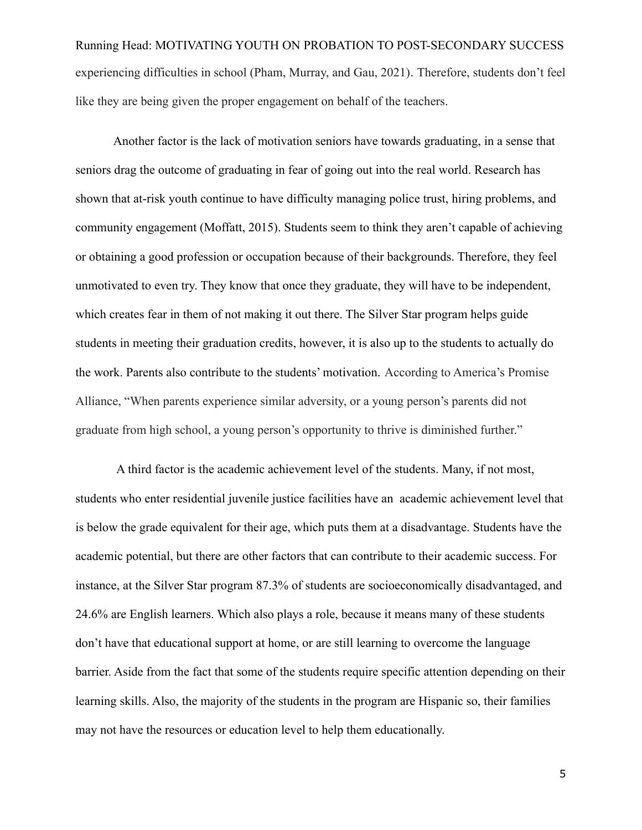Running Head: MOTIVATING YOUTH ON PROBATION TO POST-SECONDARY SUCCESS experiencing difficulties in school (Pham, Murray, and Gau, 2021). Therefore, students don't feel like they are being given the proper engagement on behalf of the teachers.

Another factor is the lack of motivation seniors have towards graduating, in a sense that seniors drag the outcome of graduating in fear of going out into the real world. Research has shown that at-risk youth continue to have difficulty managing police trust, hiring problems, and community engagement (Moffatt, 2015). Students seem to think they aren't capable of achieving or obtaining a good profession or occupation because of their backgrounds. Therefore, they feel unmotivated to even try. They know that once they graduate, they will have to be independent, which creates fear in them of not making it out there. The Silver Star program helps guide students in meeting their graduation credits, however, it is also up to the students to actually do the work. Parents also contribute to the students' motivation. According to America's Promise Alliance, "When parents experience similar adversity, or a young person's parents did not graduate from high school, a young person's opportunity to thrive is diminished further."

A third factor is the academic achievement level of the students. Many, if not most, students who enter residential juvenile justice facilities have an academic achievement level that is below the grade equivalent for their age, which puts them at a disadvantage. Students have the academic potential, but there are other factors that can contribute to their academic success. For instance, at the Silver Star program 87.3% of students are socioeconomically disadvantaged, and 24.6% are English learners. Which also plays a role, because it means many of these students don't have that educational support at home, or are still learning to overcome the language barrier. Aside from the fact that some of the students require specific attention depending on their learning skills. Also, the majority of the students in the program are Hispanic so, their families may not have the resources or education level to help them educationally.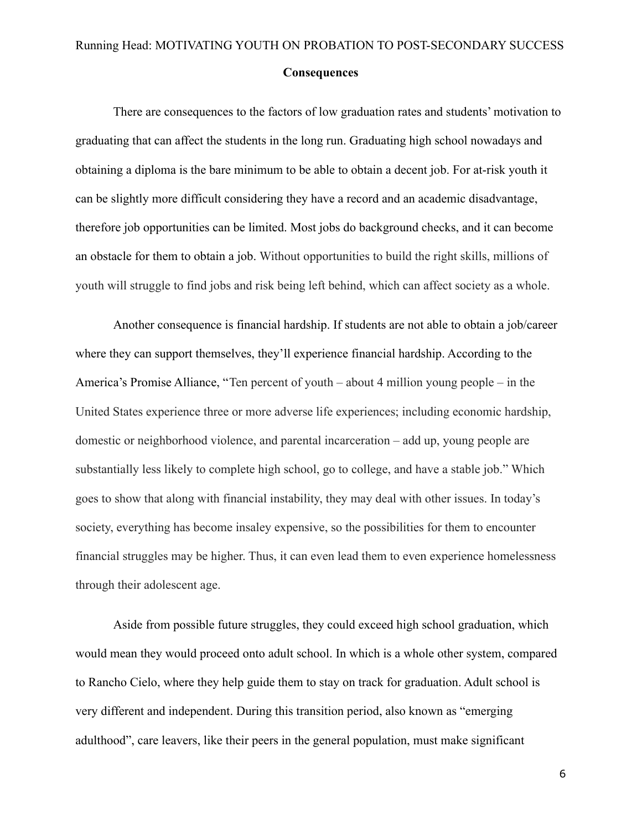There are consequences to the factors of low graduation rates and students' motivation to graduating that can affect the students in the long run. Graduating high school nowadays and obtaining a diploma is the bare minimum to be able to obtain a decent job. For at-risk youth it can be slightly more difficult considering they have a record and an academic disadvantage, therefore job opportunities can be limited. Most jobs do background checks, and it can become an obstacle for them to obtain a job. Without opportunities to build the right skills, millions of youth will struggle to find jobs and risk being left behind, which can affect society as a whole.

Another consequence is financial hardship. If students are not able to obtain a job/career where they can support themselves, they'll experience financial hardship. According to the America's Promise Alliance, "Ten percent of youth – about 4 million young people – in the United States experience three or more adverse life experiences; including economic hardship, domestic or neighborhood violence, and parental incarceration – add up, young people are substantially less likely to complete high school, go to college, and have a stable job." Which goes to show that along with financial instability, they may deal with other issues. In today's society, everything has become insaley expensive, so the possibilities for them to encounter financial struggles may be higher. Thus, it can even lead them to even experience homelessness through their adolescent age.

Aside from possible future struggles, they could exceed high school graduation, which would mean they would proceed onto adult school. In which is a whole other system, compared to Rancho Cielo, where they help guide them to stay on track for graduation. Adult school is very different and independent. During this transition period, also known as "emerging adulthood", care leavers, like their peers in the general population, must make significant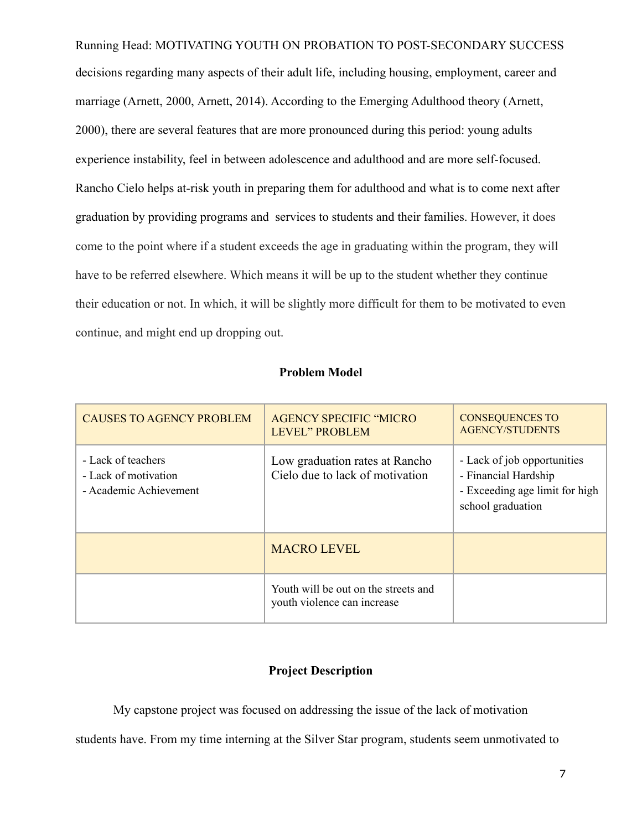Running Head: MOTIVATING YOUTH ON PROBATION TO POST-SECONDARY SUCCESS decisions regarding many aspects of their adult life, including housing, employment, career and marriage ([Arnett, 2000](https://www-sciencedirect-com.csumb.idm.oclc.org/science/article/pii/S019074091731037X?via%3Dihub#bb0010), [Arnett, 2014\)](https://www-sciencedirect-com.csumb.idm.oclc.org/science/article/pii/S019074091731037X?via%3Dihub#bb0020). According to the Emerging Adulthood theory ([Arnett,](https://www-sciencedirect-com.csumb.idm.oclc.org/science/article/pii/S019074091731037X?via%3Dihub#bb0010) [2000](https://www-sciencedirect-com.csumb.idm.oclc.org/science/article/pii/S019074091731037X?via%3Dihub#bb0010)), there are several features that are more pronounced during this period: young adults experience instability, feel in between adolescence and adulthood and are more self-focused. Rancho Cielo helps at-risk youth in preparing them for adulthood and what is to come next after graduation by providing programs and services to students and their families. However, it does come to the point where if a student exceeds the age in graduating within the program, they will have to be referred elsewhere. Which means it will be up to the student whether they continue their education or not. In which, it will be slightly more difficult for them to be motivated to even continue, and might end up dropping out.

#### **Problem Model**

| <b>CAUSES TO AGENCY PROBLEM</b>                                      | <b>AGENCY SPECIFIC "MICRO"</b><br><b>LEVEL" PROBLEM</b>             | <b>CONSEQUENCES TO</b><br><b>AGENCY/STUDENTS</b>                                                           |
|----------------------------------------------------------------------|---------------------------------------------------------------------|------------------------------------------------------------------------------------------------------------|
| - Lack of teachers<br>- Lack of motivation<br>- Academic Achievement | Low graduation rates at Rancho<br>Cielo due to lack of motivation   | - Lack of job opportunities<br>- Financial Hardship<br>- Exceeding age limit for high<br>school graduation |
|                                                                      | <b>MACRO LEVEL</b>                                                  |                                                                                                            |
|                                                                      | Youth will be out on the streets and<br>youth violence can increase |                                                                                                            |

## **Project Description**

My capstone project was focused on addressing the issue of the lack of motivation

students have. From my time interning at the Silver Star program, students seem unmotivated to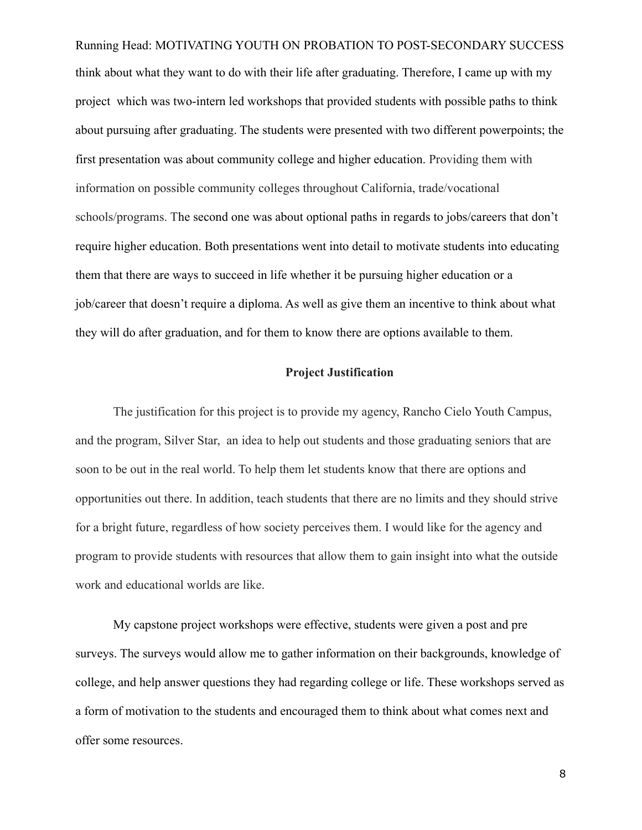Running Head: MOTIVATING YOUTH ON PROBATION TO POST-SECONDARY SUCCESS think about what they want to do with their life after graduating. Therefore, I came up with my project which was two-intern led workshops that provided students with possible paths to think about pursuing after graduating. The students were presented with two different powerpoints; the first presentation was about community college and higher education. Providing them with information on possible community colleges throughout California, trade/vocational schools/programs. The second one was about optional paths in regards to jobs/careers that don't require higher education. Both presentations went into detail to motivate students into educating them that there are ways to succeed in life whether it be pursuing higher education or a job/career that doesn't require a diploma. As well as give them an incentive to think about what they will do after graduation, and for them to know there are options available to them.

#### **Project Justification**

The justification for this project is to provide my agency, Rancho Cielo Youth Campus, and the program, Silver Star, an idea to help out students and those graduating seniors that are soon to be out in the real world. To help them let students know that there are options and opportunities out there. In addition, teach students that there are no limits and they should strive for a bright future, regardless of how society perceives them. I would like for the agency and program to provide students with resources that allow them to gain insight into what the outside work and educational worlds are like.

My capstone project workshops were effective, students were given a post and pre surveys. The surveys would allow me to gather information on their backgrounds, knowledge of college, and help answer questions they had regarding college or life. These workshops served as a form of motivation to the students and encouraged them to think about what comes next and offer some resources.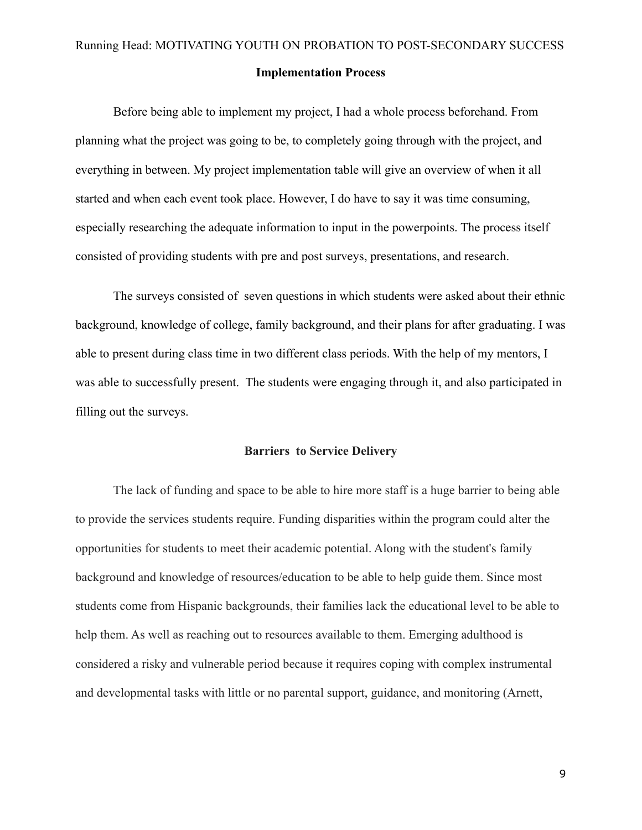Before being able to implement my project, I had a whole process beforehand. From planning what the project was going to be, to completely going through with the project, and everything in between. My project implementation table will give an overview of when it all started and when each event took place. However, I do have to say it was time consuming, especially researching the adequate information to input in the powerpoints. The process itself consisted of providing students with pre and post surveys, presentations, and research.

The surveys consisted of seven questions in which students were asked about their ethnic background, knowledge of college, family background, and their plans for after graduating. I was able to present during class time in two different class periods. With the help of my mentors, I was able to successfully present. The students were engaging through it, and also participated in filling out the surveys.

#### **Barriers to Service Delivery**

The lack of funding and space to be able to hire more staff is a huge barrier to being able to provide the services students require. Funding disparities within the program could alter the opportunities for students to meet their academic potential. Along with the student's family background and knowledge of resources/education to be able to help guide them. Since most students come from Hispanic backgrounds, their families lack the educational level to be able to help them. As well as reaching out to resources available to them. Emerging adulthood is considered a risky and vulnerable period because it requires coping with complex instrumental and developmental tasks with little or no parental support, guidance, and monitoring ([Arnett,](https://www-sciencedirect-com.csumb.idm.oclc.org/science/article/pii/S019074091731037X?via%3Dihub#bb0010)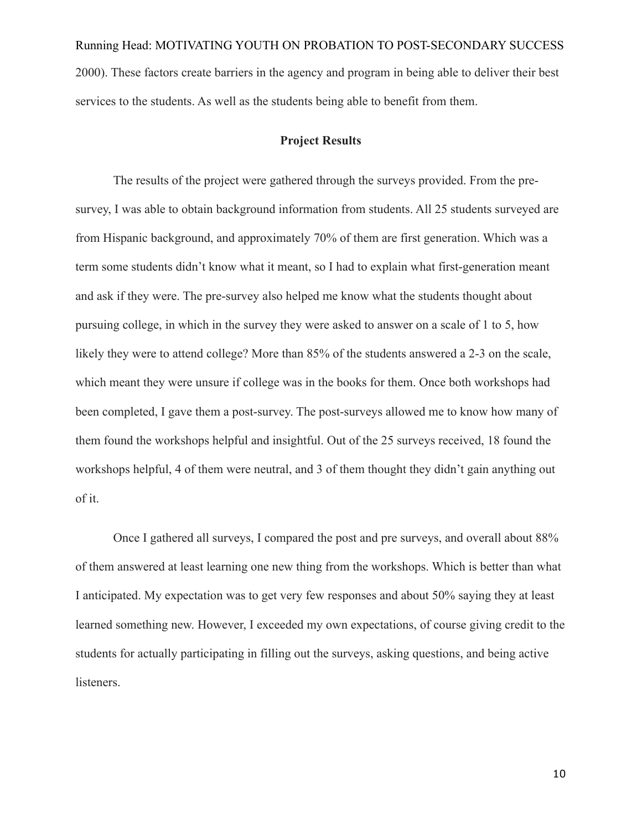Running Head: MOTIVATING YOUTH ON PROBATION TO POST-SECONDARY SUCCESS [2000](https://www-sciencedirect-com.csumb.idm.oclc.org/science/article/pii/S019074091731037X?via%3Dihub#bb0010)). These factors create barriers in the agency and program in being able to deliver their best services to the students. As well as the students being able to benefit from them.

#### **Project Results**

The results of the project were gathered through the surveys provided. From the presurvey, I was able to obtain background information from students. All 25 students surveyed are from Hispanic background, and approximately 70% of them are first generation. Which was a term some students didn't know what it meant, so I had to explain what first-generation meant and ask if they were. The pre-survey also helped me know what the students thought about pursuing college, in which in the survey they were asked to answer on a scale of 1 to 5, how likely they were to attend college? More than 85% of the students answered a 2-3 on the scale, which meant they were unsure if college was in the books for them. Once both workshops had been completed, I gave them a post-survey. The post-surveys allowed me to know how many of them found the workshops helpful and insightful. Out of the 25 surveys received, 18 found the workshops helpful, 4 of them were neutral, and 3 of them thought they didn't gain anything out of it.

Once I gathered all surveys, I compared the post and pre surveys, and overall about 88% of them answered at least learning one new thing from the workshops. Which is better than what I anticipated. My expectation was to get very few responses and about 50% saying they at least learned something new. However, I exceeded my own expectations, of course giving credit to the students for actually participating in filling out the surveys, asking questions, and being active listeners.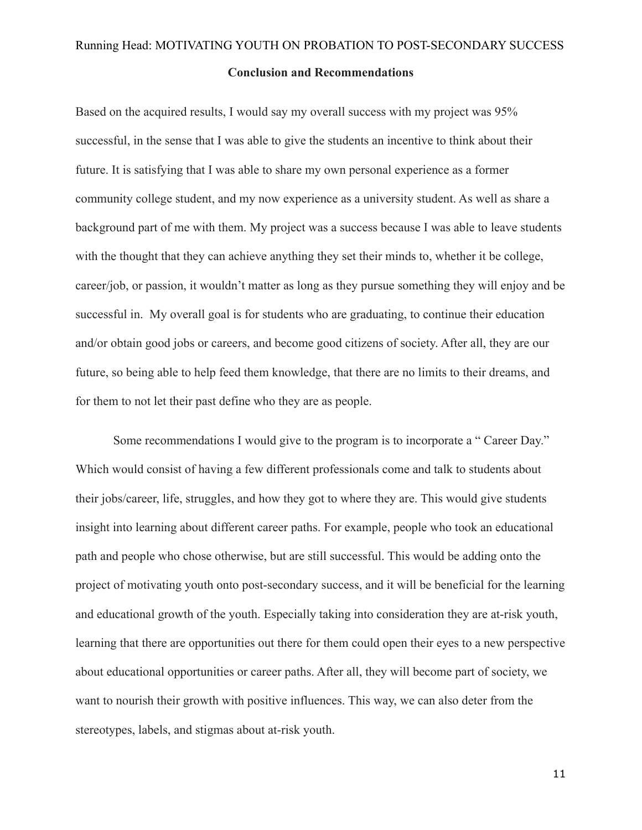#### **Conclusion and Recommendations**

Based on the acquired results, I would say my overall success with my project was 95% successful, in the sense that I was able to give the students an incentive to think about their future. It is satisfying that I was able to share my own personal experience as a former community college student, and my now experience as a university student. As well as share a background part of me with them. My project was a success because I was able to leave students with the thought that they can achieve anything they set their minds to, whether it be college, career/job, or passion, it wouldn't matter as long as they pursue something they will enjoy and be successful in. My overall goal is for students who are graduating, to continue their education and/or obtain good jobs or careers, and become good citizens of society. After all, they are our future, so being able to help feed them knowledge, that there are no limits to their dreams, and for them to not let their past define who they are as people.

Some recommendations I would give to the program is to incorporate a " Career Day." Which would consist of having a few different professionals come and talk to students about their jobs/career, life, struggles, and how they got to where they are. This would give students insight into learning about different career paths. For example, people who took an educational path and people who chose otherwise, but are still successful. This would be adding onto the project of motivating youth onto post-secondary success, and it will be beneficial for the learning and educational growth of the youth. Especially taking into consideration they are at-risk youth, learning that there are opportunities out there for them could open their eyes to a new perspective about educational opportunities or career paths. After all, they will become part of society, we want to nourish their growth with positive influences. This way, we can also deter from the stereotypes, labels, and stigmas about at-risk youth.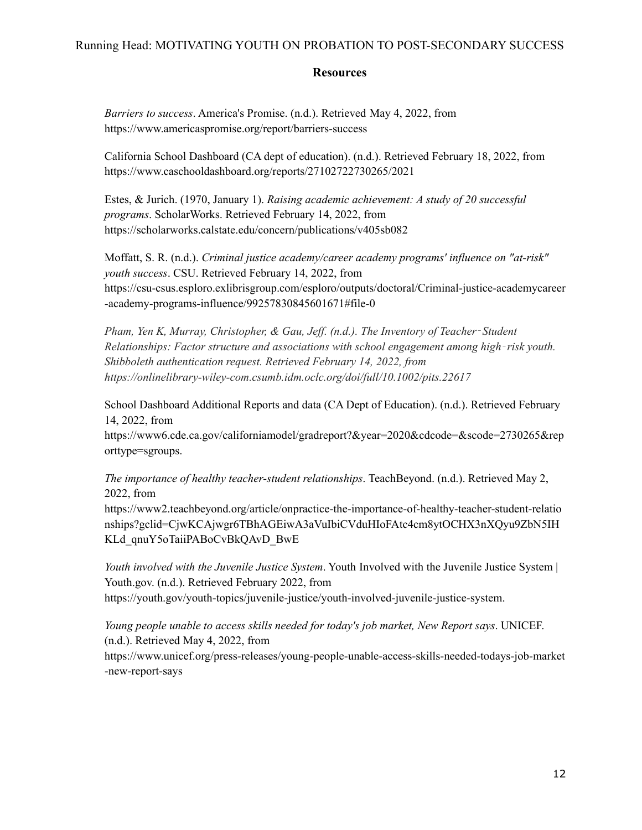#### **Resources**

*Barriers to success*. America's Promise. (n.d.). Retrieved May 4, 2022, from https://www.americaspromise.org/report/barriers-success

California School Dashboard (CA dept of education). (n.d.). Retrieved February 18, 2022, from https://www.caschooldashboard.org/reports/27102722730265/2021

Estes, & Jurich. (1970, January 1). *Raising academic achievement: A study of 20 successful programs*. ScholarWorks. Retrieved February 14, 2022, from https://scholarworks.calstate.edu/concern/publications/v405sb082

Moffatt, S. R. (n.d.). *Criminal justice academy/career academy programs' influence on "at-risk" youth success*. CSU. Retrieved February 14, 2022, from https://csu-csus.esploro.exlibrisgroup.com/esploro/outputs/doctoral/Criminal-justice-academycareer -academy-programs-influence/99257830845601671#file-0

*Pham, Yen K, Murray, Christopher, & Gau, Jef . (n.d.). The Inventory of Teacher*‐*Student Relationships: Factor structure and associations with school engagement among high*‐*risk youth. Shibboleth authentication request. Retrieved February 14, 2022, from https://onlinelibrary-wiley-com.csumb.idm.oclc.org/doi/full/10.1002/pits.22617*

School Dashboard Additional Reports and data (CA Dept of Education). (n.d.). Retrieved February 14, 2022, from

https://www6.cde.ca.gov/californiamodel/gradreport?&year=2020&cdcode=&scode=2730265&rep orttype=sgroups.

*The importance of healthy teacher-student relationships*. TeachBeyond. (n.d.). Retrieved May 2, 2022, from

https://www2.teachbeyond.org/article/onpractice-the-importance-of-healthy-teacher-student-relatio nships?gclid=CjwKCAjwgr6TBhAGEiwA3aVuIbiCVduHIoFAtc4cm8ytOCHX3nXQyu9ZbN5IH KLd\_qnuY5oTaiiPABoCvBkQAvD\_BwE

*Youth involved with the Juvenile Justice System*. Youth Involved with the Juvenile Justice System | Youth.gov. (n.d.). Retrieved February 2022, from https://youth.gov/youth-topics/juvenile-justice/youth-involved-juvenile-justice-system.

*Young people unable to access skills needed for today's job market, New Report says*. UNICEF. (n.d.). Retrieved May 4, 2022, from

https://www.unicef.org/press-releases/young-people-unable-access-skills-needed-todays-job-market -new-report-says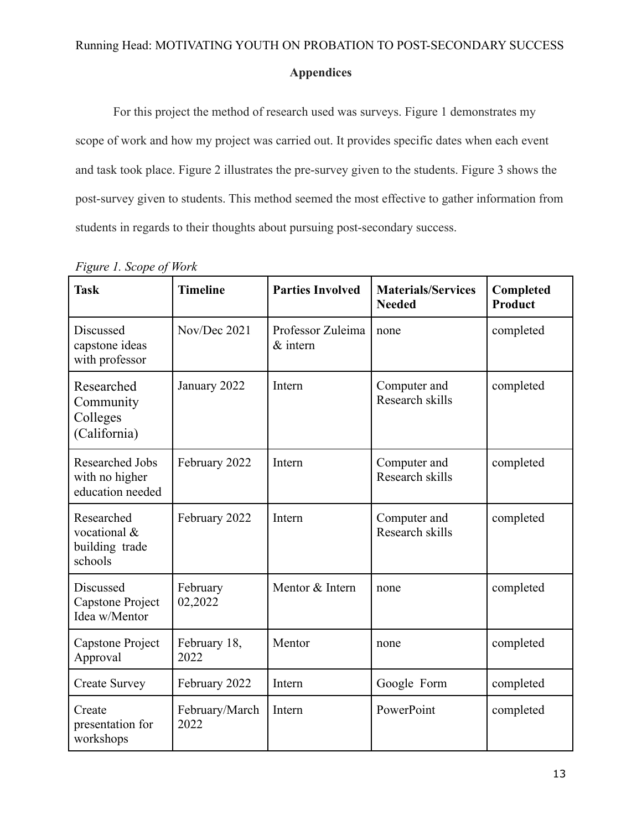#### **Appendices**

For this project the method of research used was surveys. Figure 1 demonstrates my scope of work and how my project was carried out. It provides specific dates when each event and task took place. Figure 2 illustrates the pre-survey given to the students. Figure 3 shows the post-survey given to students. This method seemed the most effective to gather information from students in regards to their thoughts about pursuing post-secondary success.

| <b>Task</b>                                                  | <b>Timeline</b>        | <b>Parties Involved</b>         | <b>Materials/Services</b><br><b>Needed</b> | Completed<br>Product |
|--------------------------------------------------------------|------------------------|---------------------------------|--------------------------------------------|----------------------|
| Discussed<br>capstone ideas<br>with professor                | Nov/Dec 2021           | Professor Zuleima<br>$&$ intern | none                                       | completed            |
| Researched<br>Community<br>Colleges<br>(California)          | January 2022           | Intern                          | Computer and<br>Research skills            | completed            |
| <b>Researched Jobs</b><br>with no higher<br>education needed | February 2022          | Intern                          | Computer and<br>Research skills            | completed            |
| Researched<br>vocational &<br>building trade<br>schools      | February 2022          | Intern                          | Computer and<br>Research skills            | completed            |
| Discussed<br>Capstone Project<br>Idea w/Mentor               | February<br>02,2022    | Mentor & Intern                 | none                                       | completed            |
| Capstone Project<br>Approval                                 | February 18,<br>2022   | Mentor                          | none                                       | completed            |
| <b>Create Survey</b>                                         | February 2022          | Intern                          | Google Form                                | completed            |
| Create<br>presentation for<br>workshops                      | February/March<br>2022 | Intern                          | PowerPoint                                 | completed            |

#### *Figure 1. Scope of Work*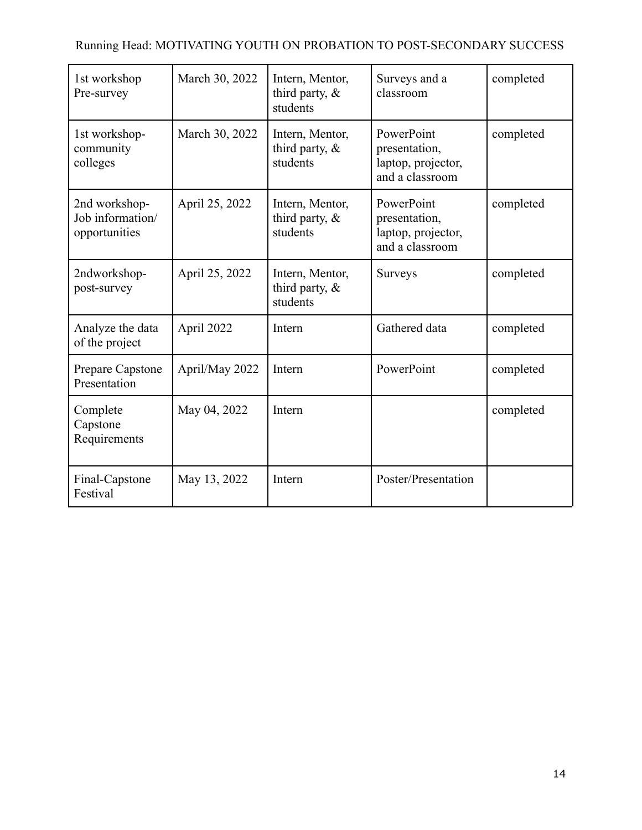| 1st workshop<br>Pre-survey                         | March 30, 2022 | Intern, Mentor,<br>third party, $\&$<br>students | Surveys and a<br>classroom                                           | completed |
|----------------------------------------------------|----------------|--------------------------------------------------|----------------------------------------------------------------------|-----------|
| 1st workshop-<br>community<br>colleges             | March 30, 2022 | Intern, Mentor,<br>third party, $\&$<br>students | PowerPoint<br>presentation,<br>laptop, projector,<br>and a classroom | completed |
| 2nd workshop-<br>Job information/<br>opportunities | April 25, 2022 | Intern, Mentor,<br>third party, $\&$<br>students | PowerPoint<br>presentation,<br>laptop, projector,<br>and a classroom | completed |
| 2ndworkshop-<br>post-survey                        | April 25, 2022 | Intern, Mentor,<br>third party, $\&$<br>students | <b>Surveys</b>                                                       | completed |
| Analyze the data<br>of the project                 | April 2022     | Intern                                           | Gathered data                                                        | completed |
| Prepare Capstone<br>Presentation                   | April/May 2022 | Intern                                           | PowerPoint                                                           | completed |
| Complete<br>Capstone<br>Requirements               | May 04, 2022   | Intern                                           |                                                                      | completed |
| Final-Capstone<br>Festival                         | May 13, 2022   | Intern                                           | Poster/Presentation                                                  |           |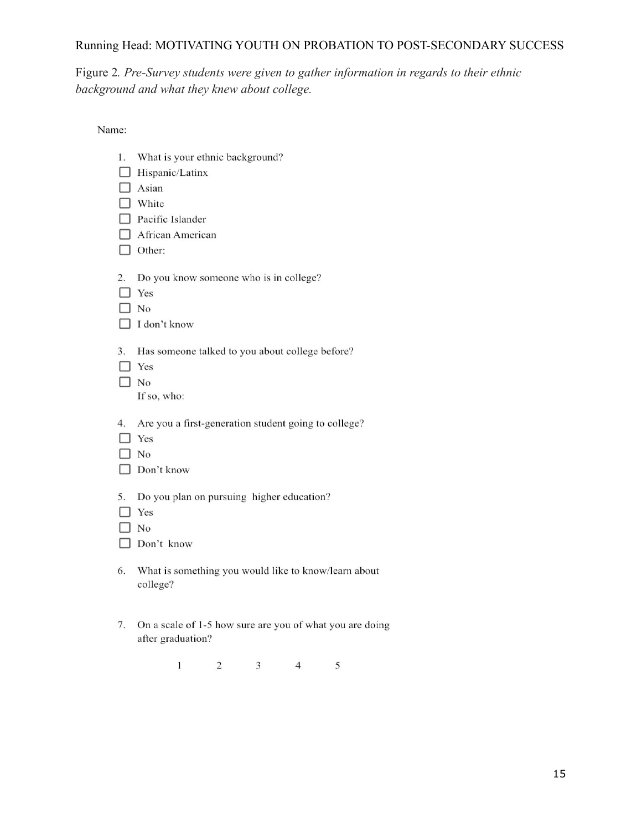Figure 2*. Pre-Survey students were given to gather information in regards to their ethnic background and what they knew about college.*

Name:

| 1. | What is your ethnic background?<br>□ Hispanic/Latinx<br>Asian<br>White<br>Pacific Islander<br>African American<br>Other: |   |   |   |                                                          |  |
|----|--------------------------------------------------------------------------------------------------------------------------|---|---|---|----------------------------------------------------------|--|
| 2. | Do you know someone who is in college?<br>$\perp$ Yes<br>$\exists$ No<br>I don't know                                    |   |   |   |                                                          |  |
| 3. | Has someone talked to you about college before?<br>$\exists$ Yes<br>$\Box$ No<br>If so, who:                             |   |   |   |                                                          |  |
| 4. | Are you a first-generation student going to college?<br>l Yes<br>No<br>Don't know                                        |   |   |   |                                                          |  |
| 5. | Do you plan on pursuing higher education?<br>Yes<br>No<br>Don't know                                                     |   |   |   |                                                          |  |
| 6. | college?                                                                                                                 |   |   |   | What is something you would like to know/learn about     |  |
| 7. | after graduation?                                                                                                        |   |   |   | On a scale of 1-5 how sure are you of what you are doing |  |
|    | 1                                                                                                                        | 2 | 3 | 4 | 5                                                        |  |